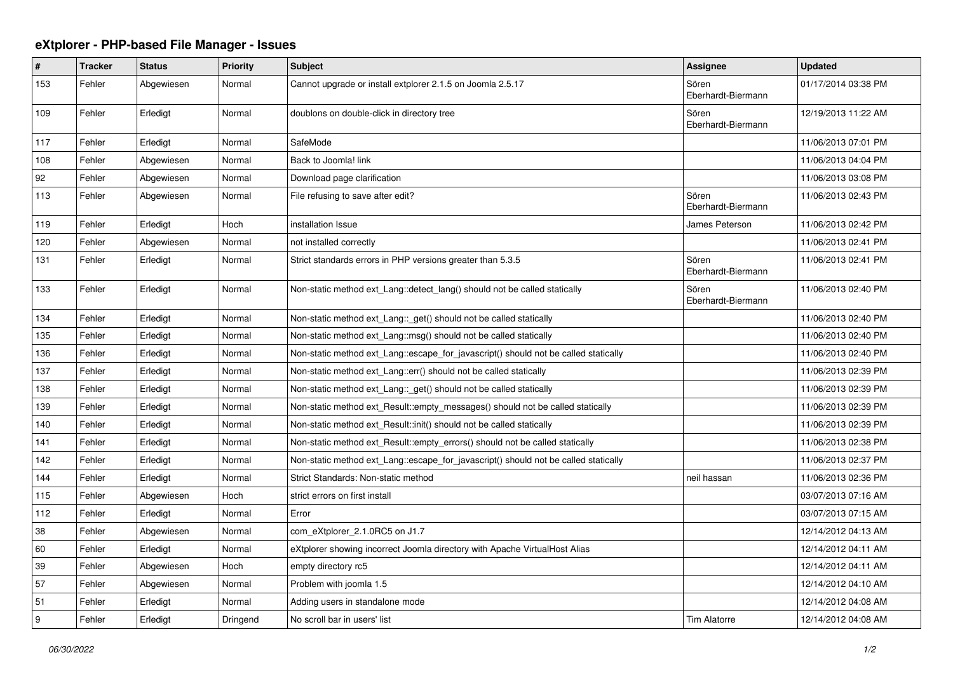## **eXtplorer - PHP-based File Manager - Issues**

| $\pmb{\#}$ | <b>Tracker</b> | <b>Status</b> | <b>Priority</b> | <b>Subject</b>                                                                      | <b>Assignee</b>             | <b>Updated</b>      |
|------------|----------------|---------------|-----------------|-------------------------------------------------------------------------------------|-----------------------------|---------------------|
| 153        | Fehler         | Abgewiesen    | Normal          | Cannot upgrade or install extplorer 2.1.5 on Joomla 2.5.17                          | Sören<br>Eberhardt-Biermann | 01/17/2014 03:38 PM |
| 109        | Fehler         | Erledigt      | Normal          | doublons on double-click in directory tree                                          | Sören<br>Eberhardt-Biermann | 12/19/2013 11:22 AM |
| 117        | Fehler         | Erledigt      | Normal          | SafeMode                                                                            |                             | 11/06/2013 07:01 PM |
| 108        | Fehler         | Abgewiesen    | Normal          | Back to Joomla! link                                                                |                             | 11/06/2013 04:04 PM |
| 92         | Fehler         | Abgewiesen    | Normal          | Download page clarification                                                         |                             | 11/06/2013 03:08 PM |
| 113        | Fehler         | Abgewiesen    | Normal          | File refusing to save after edit?                                                   | Sören<br>Eberhardt-Biermann | 11/06/2013 02:43 PM |
| 119        | Fehler         | Erledigt      | Hoch            | installation Issue                                                                  | James Peterson              | 11/06/2013 02:42 PM |
| 120        | Fehler         | Abgewiesen    | Normal          | not installed correctly                                                             |                             | 11/06/2013 02:41 PM |
| 131        | Fehler         | Erledigt      | Normal          | Strict standards errors in PHP versions greater than 5.3.5                          | Sören<br>Eberhardt-Biermann | 11/06/2013 02:41 PM |
| 133        | Fehler         | Erledigt      | Normal          | Non-static method ext Lang:: detect lang() should not be called statically          | Sören<br>Eberhardt-Biermann | 11/06/2013 02:40 PM |
| 134        | Fehler         | Erledigt      | Normal          | Non-static method ext Lang:: get() should not be called statically                  |                             | 11/06/2013 02:40 PM |
| 135        | Fehler         | Erledigt      | Normal          | Non-static method ext Lang: msg() should not be called statically                   |                             | 11/06/2013 02:40 PM |
| 136        | Fehler         | Erledigt      | Normal          | Non-static method ext Lang: escape for javascript() should not be called statically |                             | 11/06/2013 02:40 PM |
| 137        | Fehler         | Erledigt      | Normal          | Non-static method ext Lang::err() should not be called statically                   |                             | 11/06/2013 02:39 PM |
| 138        | Fehler         | Erledigt      | Normal          | Non-static method ext_Lang::_get() should not be called statically                  |                             | 11/06/2013 02:39 PM |
| 139        | Fehler         | Erledigt      | Normal          | Non-static method ext Result::empty messages() should not be called statically      |                             | 11/06/2013 02:39 PM |
| 140        | Fehler         | Erledigt      | Normal          | Non-static method ext_Result::init() should not be called statically                |                             | 11/06/2013 02:39 PM |
| 141        | Fehler         | Erledigt      | Normal          | Non-static method ext Result::empty errors() should not be called statically        |                             | 11/06/2013 02:38 PM |
| 142        | Fehler         | Erledigt      | Normal          | Non-static method ext_Lang::escape_for_javascript() should not be called statically |                             | 11/06/2013 02:37 PM |
| 144        | Fehler         | Erledigt      | Normal          | Strict Standards: Non-static method                                                 | neil hassan                 | 11/06/2013 02:36 PM |
| 115        | Fehler         | Abgewiesen    | Hoch            | strict errors on first install                                                      |                             | 03/07/2013 07:16 AM |
| 112        | Fehler         | Erledigt      | Normal          | Error                                                                               |                             | 03/07/2013 07:15 AM |
| 38         | Fehler         | Abgewiesen    | Normal          | com eXtplorer 2.1.0RC5 on J1.7                                                      |                             | 12/14/2012 04:13 AM |
| 60         | Fehler         | Erledigt      | Normal          | eXtplorer showing incorrect Joomla directory with Apache VirtualHost Alias          |                             | 12/14/2012 04:11 AM |
| 39         | Fehler         | Abgewiesen    | Hoch            | empty directory rc5                                                                 |                             | 12/14/2012 04:11 AM |
| 57         | Fehler         | Abgewiesen    | Normal          | Problem with joomla 1.5                                                             |                             | 12/14/2012 04:10 AM |
| 51         | Fehler         | Erledigt      | Normal          | Adding users in standalone mode                                                     |                             | 12/14/2012 04:08 AM |
| l 9        | Fehler         | Erledigt      | Dringend        | No scroll bar in users' list                                                        | <b>Tim Alatorre</b>         | 12/14/2012 04:08 AM |